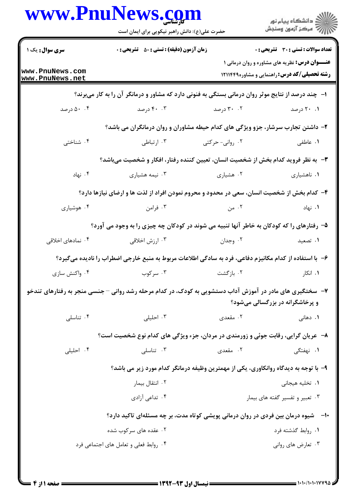|                                    | حضرت علی(ع): دانش راهبر نیکویی برای ایمان است |                                                                                                         | ر<br>دانشڪاه پيام نور)<br>اڳ مرڪز آزمون وسنڊش                                                                |
|------------------------------------|-----------------------------------------------|---------------------------------------------------------------------------------------------------------|--------------------------------------------------------------------------------------------------------------|
| <b>سری سوال :</b> یک ۱             | زمان آزمون (دقیقه) : تستی : 50 ٪ تشریحی : 0   |                                                                                                         | <b>تعداد سوالات : تستی : 30 ٪ تشریحی : 0</b>                                                                 |
| www.PnuNews.com<br>www.PnuNews.net |                                               |                                                                                                         | <b>عنـــوان درس:</b> نظریه های مشاوره و روان درمانی ۱<br><b>رشته تحصیلی/کد درس: راهنمایی و مشاوره۱۲۱۱۴۴۹</b> |
|                                    |                                               | ا- چند درصد از نتایج موثر روان درمانی بستگی به فنونی دارد که مشاور و درمانگر آن را به کار میبرند؟       |                                                                                                              |
| ۵۰ .۴ درصد                         | ۴۰ . ۴۰ درصد                                  | ۰۲ درصد                                                                                                 | ۰۱ ۲۰ درصد                                                                                                   |
|                                    |                                               | ۲- داشتن تجارب سرشار، جزو ویژگی های کدام حیطه مشاوران و روان درمانگران می باشد؟                         |                                                                                                              |
| ۰۴ شناختی                          | ۰۳ ارتباطی                                    | ۰۲ روانی- حرکتی                                                                                         | ۰۱ عاطفی                                                                                                     |
|                                    |                                               | ۳- به نظر فروید کدام بخش از شخصیت انسان، تعیین کننده رفتار، افکار و شخصیت میباشد؟                       |                                                                                                              |
| ۰۴ نهاد                            | ۰۳ نیمه هشیاری                                | ۰۲ هشیاری                                                                                               | ۰۱ ناهشیاری                                                                                                  |
|                                    |                                               | ۴– کدام بخش از شخصیت انسان، سعی در محدود و محروم نمودن افراد از لذت ها و ارضای نیازها دارد؟             |                                                                                                              |
| ۰۴ هوشیاری                         | ۰۳ فرامن                                      | ۲. من                                                                                                   | ۰۱ نهاد                                                                                                      |
|                                    |                                               | ۵– رفتارهای را که کودکان به خاطر آنها تنبیه می شوند در کودکان چه چیزی را به وجود می آورد؟               |                                                                                                              |
| ۰۴ نمادهای اخلاقی                  | ۰۳ ارزش اخلاقی                                | ۰۲ وجدان                                                                                                | ۰۱ تصعید                                                                                                     |
|                                    |                                               | ۶- با استفاده از کدام مکانیزم دفاعی، فرد به سادگی اطلاعات مربوط به منبع خارجی اضطراب را نادیده میگیرد؟  |                                                                                                              |
| ۰۴ واکنش سازی                      |                                               | ۰۲ بازگشت می اسرکوب ۲۰۰                                                                                 | ۰۱ انکار                                                                                                     |
|                                    |                                               | ۷- سختگیری های مادر در آموزش آداب دستشویی به کودک، در کدام مرحله رشد روانی –جنسی منجر به رفتارهای تندخو | و پرخاشگرانه در بزرگسالی میشود؟                                                                              |
| ۰۴ تناسلی                          | ۰۳ احلیلی                                     | ۰۲ مقعدی                                                                                                | ۰۱ دهانی                                                                                                     |
|                                    |                                               | ۸- عریان گرایی، رقابت جوئی و زورمندی در مردان، جزء ویژگی های کدام نوع شخصیت است؟                        |                                                                                                              |
| ۰۴ احلیلی                          | ۰۳ تناسلی                                     | ۰۲ مقعدی                                                                                                | <b>۱.</b> نهفتگی                                                                                             |
|                                    |                                               | ۹– با توجه به دیدگاه روانکاوری، یکی از مهمترین وظیفه درمانگر کدام مورد زیر می باشد؟                     |                                                                                                              |
|                                    | ۰۲ انتقال بیمار                               |                                                                                                         | ۰۱ تخلیه هیجان <sub>ی</sub>                                                                                  |
|                                    | ۰۴ تداعی آزادی                                |                                                                                                         | ۰۳ تعبیر و تفسیر گفته های بیمار                                                                              |
|                                    |                                               | <b>۰۱</b> -     شیوه درمان بین فردی در روان درمانی پویشی کوتاه مدت، بر چه مسئلهای تاکید دارد؟           |                                                                                                              |
|                                    | ۰۲ عقده های سرکوب شده                         |                                                                                                         | ٠١. روابط گذشته فرد                                                                                          |
|                                    | ۰۴ روابط فعلی و تعامل های اجتماعی فرد         |                                                                                                         | ۰۳ تعارض های روانی                                                                                           |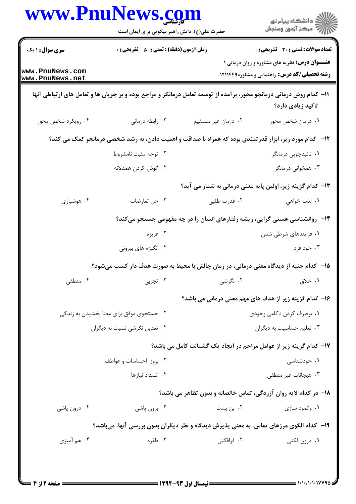|                                    | حضرت علی(ع): دانش راهبر نیکویی برای ایمان است                              |                                                                                                                     | ڪ دانشڪاه پيام نور<br>//> مرڪز آزمون وسنڊش                                                                   |  |
|------------------------------------|----------------------------------------------------------------------------|---------------------------------------------------------------------------------------------------------------------|--------------------------------------------------------------------------------------------------------------|--|
| <b>سری سوال : ۱ یک</b>             | <b>زمان آزمون (دقیقه) : تستی : 80 ٪ تشریحی : 0</b>                         |                                                                                                                     | <b>تعداد سوالات : تستی : 30 ٪ تشریحی : 0</b>                                                                 |  |
| www.PnuNews.com<br>www.PnuNews.net |                                                                            |                                                                                                                     | <b>عنـــوان درس:</b> نظریه های مشاوره و روان درمانی ۱<br><b>رشته تحصیلی/کد درس:</b> راهنمایی و مشاوره۱۲۱۱۴۴۹ |  |
|                                    |                                                                            | 11– کدام روش درمانی درمانجو محور، برآمده از توسعه تعامل درمانگر و مراجع بوده و بر جریان ها و تعامل های ارتباطی آنها | تاكيد زيادي دارد؟                                                                                            |  |
| ۰۴ رویکرد شخص محور                 | ۰۳ رابطه درمانی                                                            | ۰۲ درمان غیر مستقیم                                                                                                 | ٠١ درمان شخص محور                                                                                            |  |
|                                    |                                                                            | <b>۱۲</b> - کدام مورد زیر، ابزار قدرتمندی بوده که همراه با صداقت و اهمیت دادن، به رشد شخصی درمانجو کمک می کند؟      |                                                                                                              |  |
|                                    | ۰۲ توجه مثبت نامشروط                                                       |                                                                                                                     | ۰۱ تائیدجویی درمانگر                                                                                         |  |
|                                    | ۰۴ گوش کردن همدلانه                                                        |                                                                                                                     | ۰۳ همخوانی درمانگر                                                                                           |  |
|                                    |                                                                            | ۱۳– کدام گزینه زیر، اولین پایه معنی درمانی به شمار می آید؟                                                          |                                                                                                              |  |
| ۰۴ هوشیاری                         | ۰۳ حل تعارضات                                                              | ۰۲ قدرت طلبي                                                                                                        | ۰۱ لذت خواهي                                                                                                 |  |
|                                    | ۱۴- روانشناسی هستی گرایی، ریشه رفتارهای انسان را در چه مفهومی جستجو میکند؟ |                                                                                                                     |                                                                                                              |  |
|                                    | ۰۲ غريزه                                                                   |                                                                                                                     | ۰۱ فرایندهای شرطی شدن                                                                                        |  |
|                                    | ۰۴ انگیزه های بیرونی                                                       |                                                                                                                     | ۰۳ خود فرد                                                                                                   |  |
|                                    |                                                                            | ۱۵– کدام جنبه از دیدگاه معنی درمانی، در زمان چالش با محیط به صورت هدف دار کسب میشود؟                                |                                                                                                              |  |
| ۰۴ منطقی                           | ۰۳ تجربی                                                                   | ۰۲ نگرشی                                                                                                            | ۰۱ خلاق                                                                                                      |  |
|                                    |                                                                            | ۱۶– کدام گزینه زیر از هدف های مهم معنی درمانی می باشد؟                                                              |                                                                                                              |  |
|                                    | ۰۲ جستجوی موفق برای معنا بخشیدن به زندگی                                   |                                                                                                                     | ٠١. برطرف كردن ناكامي وجودي                                                                                  |  |
|                                    | ۰۴ تعدیل نگرشی نسبت به دیگران                                              |                                                                                                                     | ۰۳ تعلیم حساسیت به دیگران                                                                                    |  |
|                                    |                                                                            | ۱۷– کدام گزینه زیر از عوامل مزاحم در ایجاد یک گشتالت کامل می باشد؟                                                  |                                                                                                              |  |
|                                    | ۰۲ بروز احساسات و عواطف                                                    |                                                                                                                     | ۰۱ خودشناسی                                                                                                  |  |
|                                    | ۰۴ انسداد نیازها                                                           |                                                                                                                     | ۰۳ هیجانات غیر منطقی                                                                                         |  |
|                                    |                                                                            | ۱۸- در کدام لایه روان آزردگی، تماس خالصانه و بدون تظاهر می باشد؟                                                    |                                                                                                              |  |
| ۰۴ درون پاشی                       | ۰۳ برون پاشي                                                               | ۰۲ بن بست                                                                                                           | ۰۱ وانمود سازی                                                                                               |  |
|                                    |                                                                            | ۱۹- کدام الگوی مرزهای تماس، به معنی پذیرش دیدگاه و نظر دیگران بدون بررسی آنها، میباشد؟                              |                                                                                                              |  |
| ۰۴ هم آميزي                        | ۰۳ طفره                                                                    | ۰۲ فرافکنی                                                                                                          | ۰۱ درون فکنی                                                                                                 |  |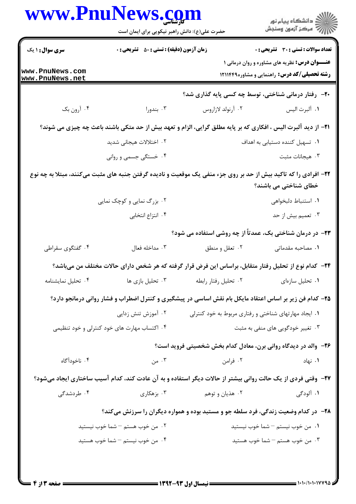|                                   | ڪ دانشڪاه پيام نور<br>پ <sup>ر</sup> مرڪز آزمون وسنڊش<br>حضرت علی(ع): دانش راهبر نیکویی برای ایمان است                                   |               |
|-----------------------------------|------------------------------------------------------------------------------------------------------------------------------------------|---------------|
|                                   | <b>زمان آزمون (دقیقه) : تستی : 50 ٪ تشریحی : 0</b><br><b>تعداد سوالات : تستی : 30 ٪ تشریحی : 0</b>                                       |               |
|                                   | <b>عنـــوان درس:</b> نظریه های مشاوره و روان درمانی ۱<br><b>رشته تحصیلی/کد درس:</b> راهنمایی و مشاوره۱۲۱۱۴۴۹                             |               |
|                                   | <b>۲۰</b> - رفتار درمانی شناختی، توسط چه کسی پایه گذاری شد؟                                                                              |               |
|                                   | ۰۲ آرنولد لازاروس                                                                                                                        | ٠١ ألبرت اليس |
|                                   | <b>۲۱</b> - از دید آلبرت الیس ، افکاری که بر پایه مطلق گرایی، الزام و تعهد بیش از حد متکی باشند باعث چه چیزی می شوند؟                    |               |
|                                   | ٠١ تسهيل كننده دستيابي به اهداف                                                                                                          |               |
|                                   | ۰۳ هیجانات مثبت                                                                                                                          |               |
|                                   | ۲۲- افرادی را که تاکید بیش از حد بر روی جزء منفی یک موقعیت و نادیده گرفتن جنبه های مثبت میکنند، مبتلا به چه نوع<br>خطای شناختی می باشند؟ |               |
|                                   | ٠١. استنباط دلبخواهي                                                                                                                     |               |
|                                   | ۰۳ تعمیم بیش از حد                                                                                                                       |               |
|                                   | <b>۲۳</b> - در درمان شناختی بک، عمدتاً از چه روشی استفاده می شود؟                                                                        |               |
|                                   | ٠١. مصاحبه مقدماتي<br>۰۲ تعقل و منطق                                                                                                     |               |
|                                   | ۲۴– کدام نوع از تحلیل رفتار متقابل، براساس این فرض قرار گرفته که هر شخص دارای حالات مختلف من میباشد؟                                     |               |
|                                   | ٠٢ تحليل رفتار رابطه<br>٠١ تحليل سازهاى                                                                                                  |               |
|                                   | ۲۵– کدام فن زیر بر اساس اعتقاد مایکل بام نقش اساسی در پیشگیری و کنترل اضطراب و فشار روانی درمانجو دارد؟                                  |               |
|                                   | ۰۱ ایجاد مهارتهای شناختی و رفتاری مربوط به خود کنترلی                                                                                    |               |
| ۰۳ تغییر خودگویی های منفی به مثبت |                                                                                                                                          |               |
|                                   | ۲۶- والد در دیدگاه روانی برن، معادل کدام بخش شخصیتی فروید است؟                                                                           |               |
|                                   | ۰۲ فرامن                                                                                                                                 | ۰۱ نهاد       |
|                                   | ۲۷- وقتی فردی از یک حالت روانی بیشتر از حالات دیگر استفاده و به آن عادت کند، کدام آسیب ساختاری ایجاد میشود؟                              |               |
|                                   | ۰۲ هذیان و توهم <b>سلمانی تو</b> ه بر هکاری میشود.                                                                                       | ۱. آلودگی     |
|                                   | <b>۲۸</b> - در کدام وضعیت زندگی، فرد سلطه جو و مستبد بوده و همواره دیگران را سرزنش میکند؟                                                |               |
|                                   | ۰۱ من خوب نيستم – شما خوب نيستيد                                                                                                         |               |
|                                   | ٠٣ من خوب هستم – شما خوب هستيد                                                                                                           |               |